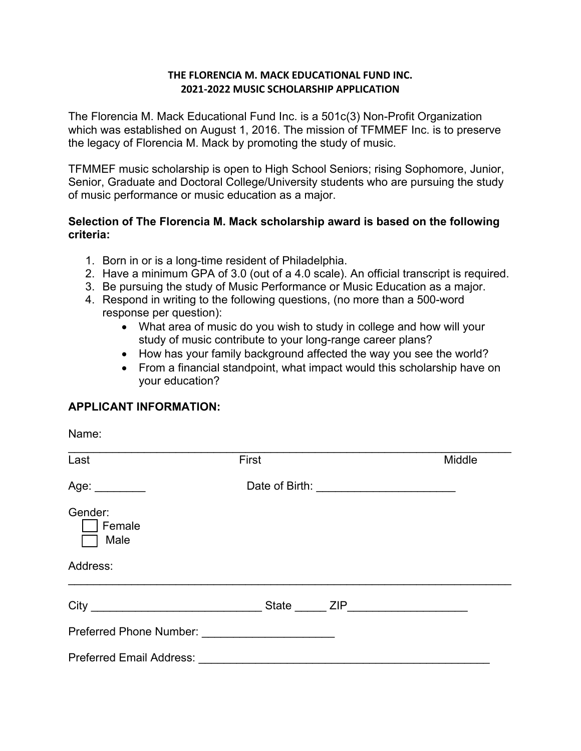#### **THE FLORENCIA M. MACK EDUCATIONAL FUND INC. 2021-2022 MUSIC SCHOLARSHIP APPLICATION**

The Florencia M. Mack Educational Fund Inc. is a 501c(3) Non-Profit Organization which was established on August 1, 2016. The mission of TFMMEF Inc. is to preserve the legacy of Florencia M. Mack by promoting the study of music.

TFMMEF music scholarship is open to High School Seniors; rising Sophomore, Junior, Senior, Graduate and Doctoral College/University students who are pursuing the study of music performance or music education as a major.

### **Selection of The Florencia M. Mack scholarship award is based on the following criteria:**

- 1. Born in or is a long-time resident of Philadelphia.
- 2. Have a minimum GPA of 3.0 (out of a 4.0 scale). An official transcript is required.
- 3. Be pursuing the study of Music Performance or Music Education as a major.
- 4. Respond in writing to the following questions, (no more than a 500-word response per question):
	- What area of music do you wish to study in college and how will your study of music contribute to your long-range career plans?
	- How has your family background affected the way you see the world?
	- From a financial standpoint, what impact would this scholarship have on your education?

## **APPLICANT INFORMATION:**

Name:

| Last                            | First |  | Middle |
|---------------------------------|-------|--|--------|
| Age: $\_\_$                     |       |  |        |
| Gender:<br>Female<br>Male       |       |  |        |
| Address:                        |       |  |        |
|                                 |       |  |        |
|                                 |       |  |        |
| <b>Preferred Email Address:</b> |       |  |        |